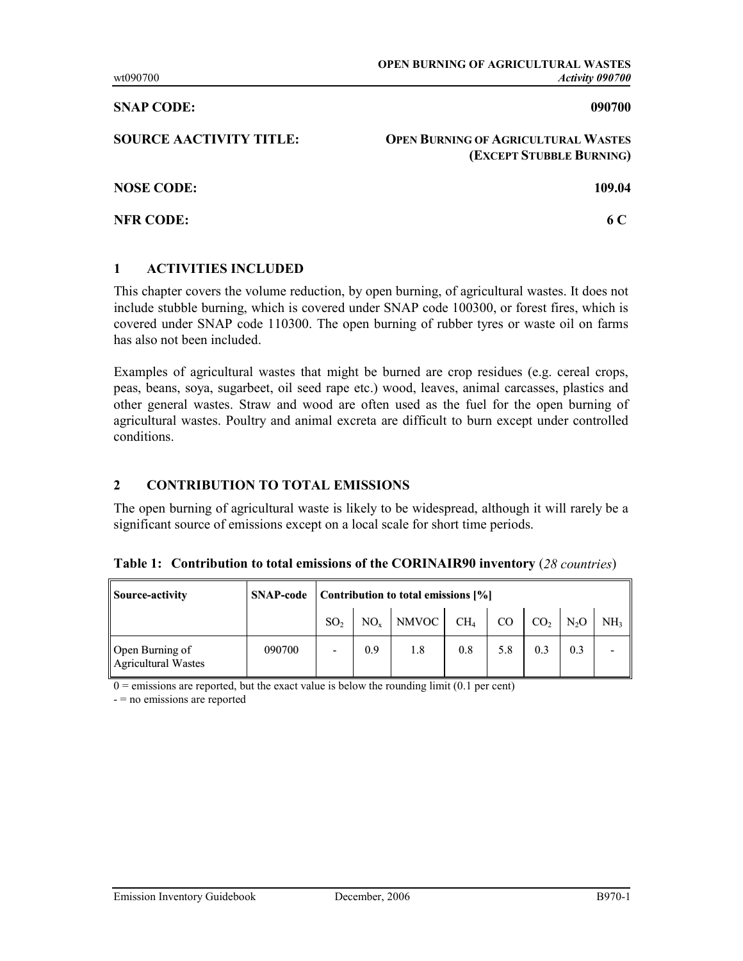### SNAP CODE: 090700

| <b>SOURCE AACTIVITY TITLE:</b> | <b>OPEN BURNING OF AGRICULTURAL WASTES</b><br>(EXCEPT STUBBLE BURNING) |
|--------------------------------|------------------------------------------------------------------------|
| <b>NOSE CODE:</b>              | 109.04                                                                 |
| <b>NFR CODE:</b>               | 6 C                                                                    |

## 1 ACTIVITIES INCLUDED

This chapter covers the volume reduction, by open burning, of agricultural wastes. It does not include stubble burning, which is covered under SNAP code 100300, or forest fires, which is covered under SNAP code 110300. The open burning of rubber tyres or waste oil on farms has also not been included.

Examples of agricultural wastes that might be burned are crop residues (e.g. cereal crops, peas, beans, soya, sugarbeet, oil seed rape etc.) wood, leaves, animal carcasses, plastics and other general wastes. Straw and wood are often used as the fuel for the open burning of agricultural wastes. Poultry and animal excreta are difficult to burn except under controlled conditions.

# 2 CONTRIBUTION TO TOTAL EMISSIONS

The open burning of agricultural waste is likely to be widespread, although it will rarely be a significant source of emissions except on a local scale for short time periods.

|  |  |  | Table 1: Contribution to total emissions of the CORINAIR90 inventory (28 countries) |  |  |
|--|--|--|-------------------------------------------------------------------------------------|--|--|
|--|--|--|-------------------------------------------------------------------------------------|--|--|

| Source-activity                               | <b>SNAP-code</b> | Contribution to total emissions [%] |     |                |        |     |                        |     |                 |
|-----------------------------------------------|------------------|-------------------------------------|-----|----------------|--------|-----|------------------------|-----|-----------------|
|                                               |                  | SO <sub>2</sub>                     |     | $NO_{x}$ NMVOC | $CH_4$ | CO  | $CO2$ N <sub>2</sub> O |     | NH <sub>3</sub> |
| Open Burning of<br><b>Agricultural Wastes</b> | 090700           |                                     | 0.9 | 1.8            | 0.8    | 5.8 | 0.3                    | 0.3 |                 |

 $0 =$  emissions are reported, but the exact value is below the rounding limit (0.1 per cent)

- = no emissions are reported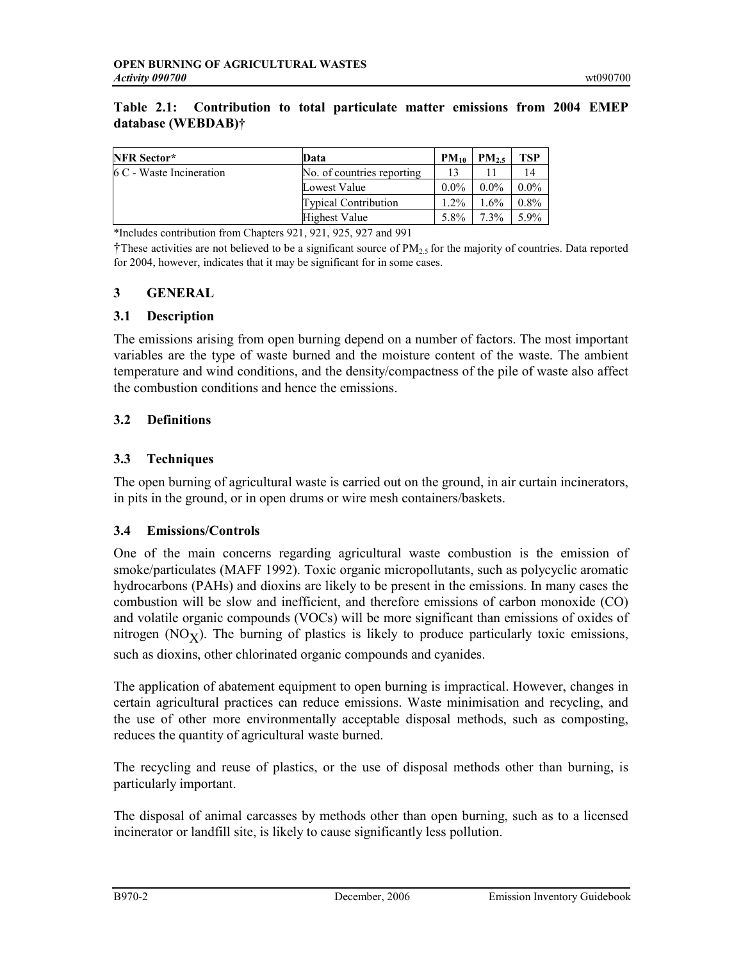### Table 2.1: Contribution to total particulate matter emissions from 2004 EMEP database (WEBDAB)†

| <b>NFR Sector*</b>       | Data                        | $PM_{10}$ | $PM_{25}$ | TSP     |
|--------------------------|-----------------------------|-----------|-----------|---------|
| 6 C - Waste Incineration | No. of countries reporting  |           |           | 14      |
|                          | Lowest Value                | $0.0\%$   | $0.0\%$   | $0.0\%$ |
|                          | <b>Typical Contribution</b> | $1.2\%$   | $1.6\%$   | $0.8\%$ |
|                          | <b>Highest Value</b>        | 5.8%      | $7.3\%$   | 5.9%    |

\*Includes contribution from Chapters 921, 921, 925, 927 and 991

†These activities are not believed to be a significant source of PM<sub>2</sub>, for the majority of countries. Data reported for 2004, however, indicates that it may be significant for in some cases.

## 3 GENERAL

### 3.1 Description

The emissions arising from open burning depend on a number of factors. The most important variables are the type of waste burned and the moisture content of the waste. The ambient temperature and wind conditions, and the density/compactness of the pile of waste also affect the combustion conditions and hence the emissions.

## 3.2 Definitions

### 3.3 Techniques

The open burning of agricultural waste is carried out on the ground, in air curtain incinerators, in pits in the ground, or in open drums or wire mesh containers/baskets.

## 3.4 Emissions/Controls

One of the main concerns regarding agricultural waste combustion is the emission of smoke/particulates (MAFF 1992). Toxic organic micropollutants, such as polycyclic aromatic hydrocarbons (PAHs) and dioxins are likely to be present in the emissions. In many cases the combustion will be slow and inefficient, and therefore emissions of carbon monoxide (CO) and volatile organic compounds (VOCs) will be more significant than emissions of oxides of nitrogen ( $NO_X$ ). The burning of plastics is likely to produce particularly toxic emissions, such as dioxins, other chlorinated organic compounds and cyanides.

The application of abatement equipment to open burning is impractical. However, changes in certain agricultural practices can reduce emissions. Waste minimisation and recycling, and the use of other more environmentally acceptable disposal methods, such as composting, reduces the quantity of agricultural waste burned.

The recycling and reuse of plastics, or the use of disposal methods other than burning, is particularly important.

The disposal of animal carcasses by methods other than open burning, such as to a licensed incinerator or landfill site, is likely to cause significantly less pollution.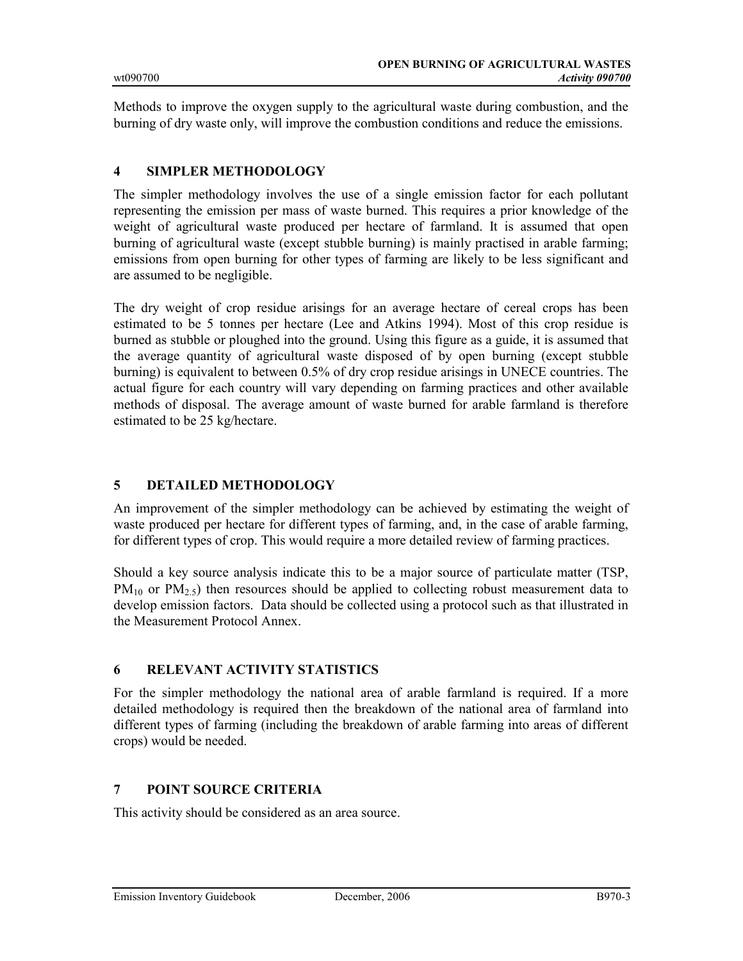Methods to improve the oxygen supply to the agricultural waste during combustion, and the burning of dry waste only, will improve the combustion conditions and reduce the emissions.

### 4 SIMPLER METHODOLOGY

The simpler methodology involves the use of a single emission factor for each pollutant representing the emission per mass of waste burned. This requires a prior knowledge of the weight of agricultural waste produced per hectare of farmland. It is assumed that open burning of agricultural waste (except stubble burning) is mainly practised in arable farming; emissions from open burning for other types of farming are likely to be less significant and are assumed to be negligible.

The dry weight of crop residue arisings for an average hectare of cereal crops has been estimated to be 5 tonnes per hectare (Lee and Atkins 1994). Most of this crop residue is burned as stubble or ploughed into the ground. Using this figure as a guide, it is assumed that the average quantity of agricultural waste disposed of by open burning (except stubble burning) is equivalent to between 0.5% of dry crop residue arisings in UNECE countries. The actual figure for each country will vary depending on farming practices and other available methods of disposal. The average amount of waste burned for arable farmland is therefore estimated to be 25 kg/hectare.

### 5 DETAILED METHODOLOGY

An improvement of the simpler methodology can be achieved by estimating the weight of waste produced per hectare for different types of farming, and, in the case of arable farming, for different types of crop. This would require a more detailed review of farming practices.

Should a key source analysis indicate this to be a major source of particulate matter (TSP,  $PM_{10}$  or  $PM_{2.5}$ ) then resources should be applied to collecting robust measurement data to develop emission factors. Data should be collected using a protocol such as that illustrated in the Measurement Protocol Annex.

### 6 RELEVANT ACTIVITY STATISTICS

For the simpler methodology the national area of arable farmland is required. If a more detailed methodology is required then the breakdown of the national area of farmland into different types of farming (including the breakdown of arable farming into areas of different crops) would be needed.

## 7 POINT SOURCE CRITERIA

This activity should be considered as an area source.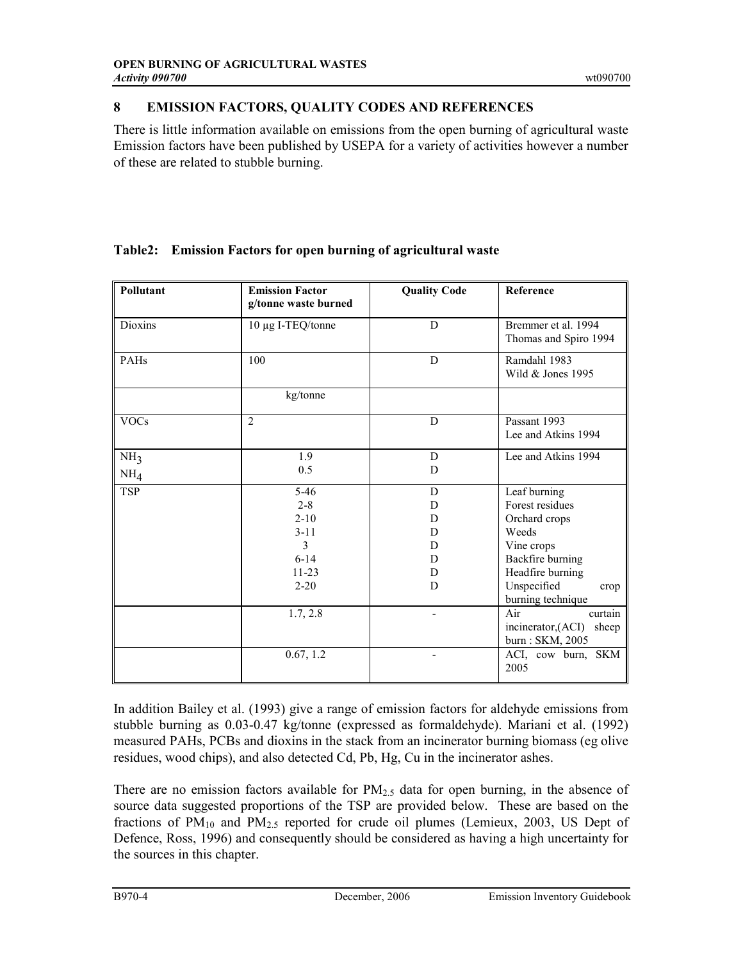# 8 EMISSION FACTORS, QUALITY CODES AND REFERENCES

There is little information available on emissions from the open burning of agricultural waste Emission factors have been published by USEPA for a variety of activities however a number of these are related to stubble burning.

| Pollutant       | <b>Emission Factor</b><br>g/tonne waste burned | <b>Quality Code</b><br>Reference |                                                                  |  |
|-----------------|------------------------------------------------|----------------------------------|------------------------------------------------------------------|--|
| Dioxins         | 10 μg I-TEQ/tonne                              | D                                | Bremmer et al. 1994<br>Thomas and Spiro 1994                     |  |
| PAHs            | 100                                            |                                  | Ramdahl 1983<br>Wild & Jones 1995                                |  |
|                 | kg/tonne                                       |                                  |                                                                  |  |
| <b>VOCs</b>     | 2                                              | D                                | Passant 1993<br>Lee and Atkins 1994                              |  |
| NH <sub>3</sub> | 1.9<br>0.5                                     | D<br>D                           | Lee and Atkins 1994                                              |  |
| NH <sub>4</sub> |                                                |                                  |                                                                  |  |
| <b>TSP</b>      | $5-46$                                         | D                                | Leaf burning                                                     |  |
|                 | $2 - 8$                                        | D                                | Forest residues                                                  |  |
|                 | $2 - 10$                                       | D                                | Orchard crops                                                    |  |
|                 | $3 - 11$                                       | D                                | Weeds                                                            |  |
|                 | $\mathbf{3}$                                   | Vine crops<br>D                  |                                                                  |  |
|                 | $6 - 14$                                       | D                                | Backfire burning                                                 |  |
|                 | $11 - 23$                                      | D                                | Headfire burning                                                 |  |
|                 | $2 - 20$                                       | D                                | Unspecified<br>crop<br>burning technique                         |  |
|                 | 1.7, 2.8                                       |                                  | Air<br>curtain<br>incinerator, (ACI)<br>sheep<br>burn: SKM, 2005 |  |
|                 | 0.67, 1.2                                      |                                  | ACI, cow burn, SKM<br>2005                                       |  |

# Table2: Emission Factors for open burning of agricultural waste

In addition Bailey et al. (1993) give a range of emission factors for aldehyde emissions from stubble burning as 0.03-0.47 kg/tonne (expressed as formaldehyde). Mariani et al. (1992) measured PAHs, PCBs and dioxins in the stack from an incinerator burning biomass (eg olive residues, wood chips), and also detected Cd, Pb, Hg, Cu in the incinerator ashes.

There are no emission factors available for  $PM_{2.5}$  data for open burning, in the absence of source data suggested proportions of the TSP are provided below. These are based on the fractions of  $PM_{10}$  and  $PM_{2.5}$  reported for crude oil plumes (Lemieux, 2003, US Dept of Defence, Ross, 1996) and consequently should be considered as having a high uncertainty for the sources in this chapter.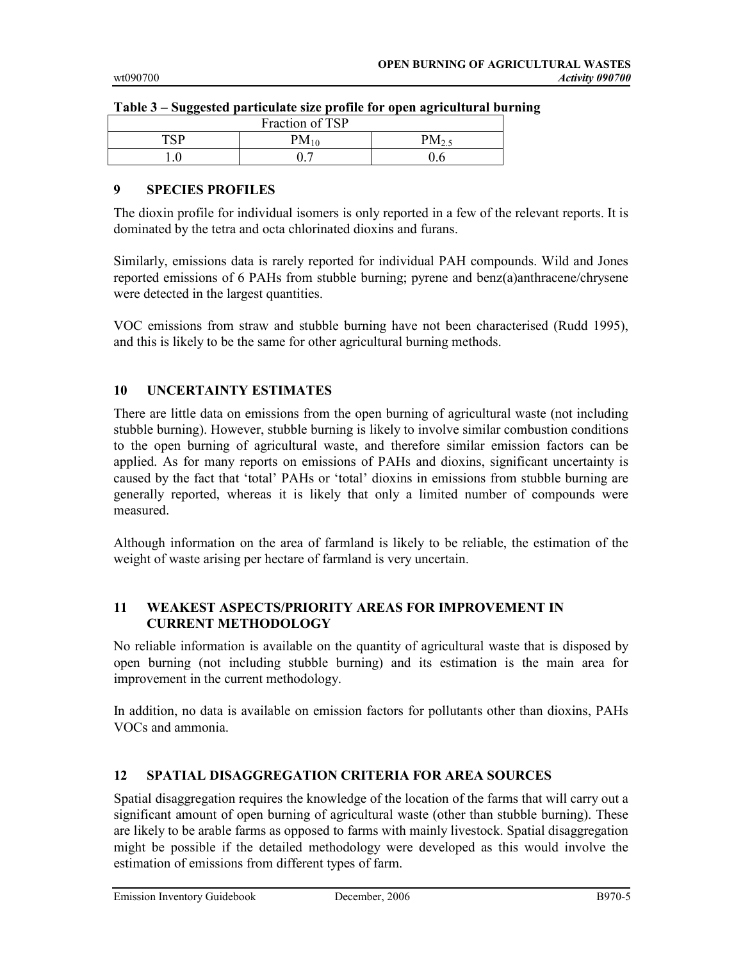| -<br>Fraction of TSP |  |      |  |  |
|----------------------|--|------|--|--|
| TCD                  |  | / הח |  |  |
|                      |  |      |  |  |

#### Table 3 – Suggested particulate size profile for open agricultural burning

## 9 SPECIES PROFILES

The dioxin profile for individual isomers is only reported in a few of the relevant reports. It is dominated by the tetra and octa chlorinated dioxins and furans.

Similarly, emissions data is rarely reported for individual PAH compounds. Wild and Jones reported emissions of 6 PAHs from stubble burning; pyrene and benz(a)anthracene/chrysene were detected in the largest quantities.

VOC emissions from straw and stubble burning have not been characterised (Rudd 1995), and this is likely to be the same for other agricultural burning methods.

## 10 UNCERTAINTY ESTIMATES

There are little data on emissions from the open burning of agricultural waste (not including stubble burning). However, stubble burning is likely to involve similar combustion conditions to the open burning of agricultural waste, and therefore similar emission factors can be applied. As for many reports on emissions of PAHs and dioxins, significant uncertainty is caused by the fact that 'total' PAHs or 'total' dioxins in emissions from stubble burning are generally reported, whereas it is likely that only a limited number of compounds were measured.

Although information on the area of farmland is likely to be reliable, the estimation of the weight of waste arising per hectare of farmland is very uncertain.

### 11 WEAKEST ASPECTS/PRIORITY AREAS FOR IMPROVEMENT IN CURRENT METHODOLOGY

No reliable information is available on the quantity of agricultural waste that is disposed by open burning (not including stubble burning) and its estimation is the main area for improvement in the current methodology.

In addition, no data is available on emission factors for pollutants other than dioxins, PAHs VOCs and ammonia.

## 12 SPATIAL DISAGGREGATION CRITERIA FOR AREA SOURCES

Spatial disaggregation requires the knowledge of the location of the farms that will carry out a significant amount of open burning of agricultural waste (other than stubble burning). These are likely to be arable farms as opposed to farms with mainly livestock. Spatial disaggregation might be possible if the detailed methodology were developed as this would involve the estimation of emissions from different types of farm.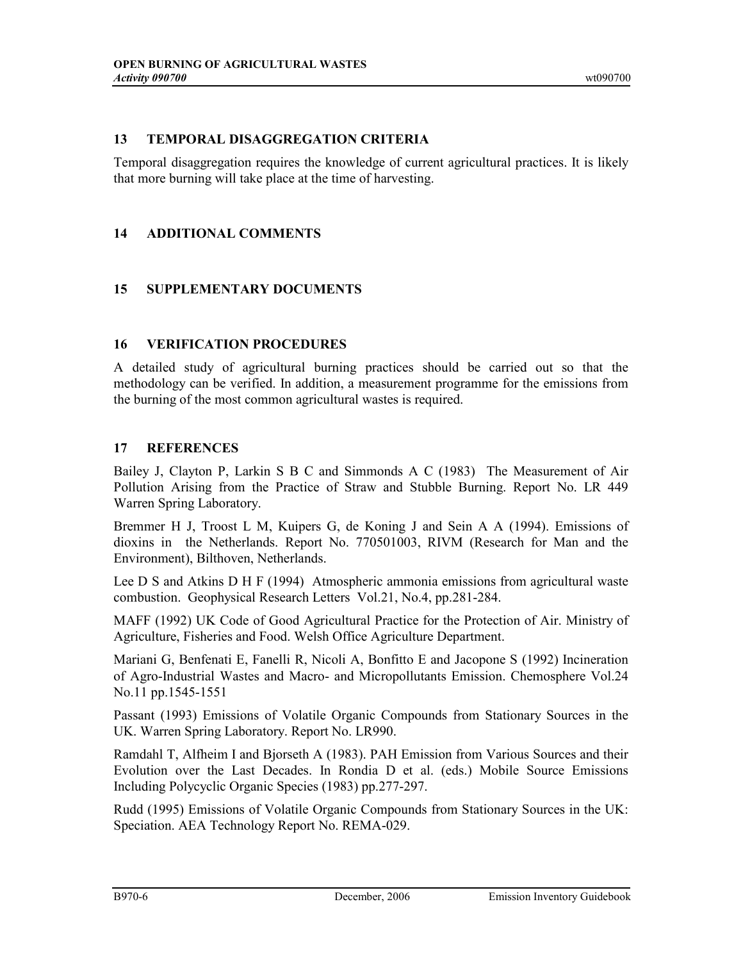## 13 TEMPORAL DISAGGREGATION CRITERIA

Temporal disaggregation requires the knowledge of current agricultural practices. It is likely that more burning will take place at the time of harvesting.

# 14 ADDITIONAL COMMENTS

# 15 SUPPLEMENTARY DOCUMENTS

# 16 VERIFICATION PROCEDURES

A detailed study of agricultural burning practices should be carried out so that the methodology can be verified. In addition, a measurement programme for the emissions from the burning of the most common agricultural wastes is required.

# 17 REFERENCES

Bailey J, Clayton P, Larkin S B C and Simmonds A C (1983) The Measurement of Air Pollution Arising from the Practice of Straw and Stubble Burning. Report No. LR 449 Warren Spring Laboratory.

Bremmer H J, Troost L M, Kuipers G, de Koning J and Sein A A (1994). Emissions of dioxins in the Netherlands. Report No. 770501003, RIVM (Research for Man and the Environment), Bilthoven, Netherlands.

Lee D S and Atkins D H F (1994) Atmospheric ammonia emissions from agricultural waste combustion. Geophysical Research Letters Vol.21, No.4, pp.281-284.

MAFF (1992) UK Code of Good Agricultural Practice for the Protection of Air. Ministry of Agriculture, Fisheries and Food. Welsh Office Agriculture Department.

Mariani G, Benfenati E, Fanelli R, Nicoli A, Bonfitto E and Jacopone S (1992) Incineration of Agro-Industrial Wastes and Macro- and Micropollutants Emission. Chemosphere Vol.24 No.11 pp.1545-1551

Passant (1993) Emissions of Volatile Organic Compounds from Stationary Sources in the UK. Warren Spring Laboratory. Report No. LR990.

Ramdahl T, Alfheim I and Bjorseth A (1983). PAH Emission from Various Sources and their Evolution over the Last Decades. In Rondia D et al. (eds.) Mobile Source Emissions Including Polycyclic Organic Species (1983) pp.277-297.

Rudd (1995) Emissions of Volatile Organic Compounds from Stationary Sources in the UK: Speciation. AEA Technology Report No. REMA-029.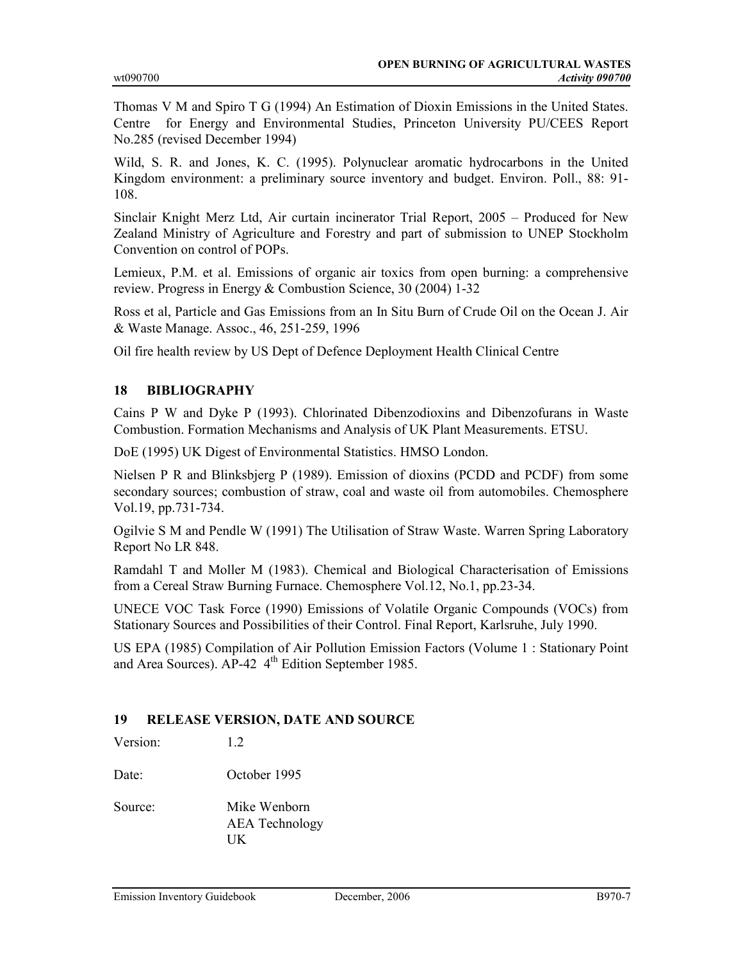Thomas V M and Spiro T G (1994) An Estimation of Dioxin Emissions in the United States. Centre for Energy and Environmental Studies, Princeton University PU/CEES Report No.285 (revised December 1994)

Wild, S. R. and Jones, K. C. (1995). Polynuclear aromatic hydrocarbons in the United Kingdom environment: a preliminary source inventory and budget. Environ. Poll., 88: 91- 108.

Sinclair Knight Merz Ltd, Air curtain incinerator Trial Report, 2005 – Produced for New Zealand Ministry of Agriculture and Forestry and part of submission to UNEP Stockholm Convention on control of POPs.

Lemieux, P.M. et al. Emissions of organic air toxics from open burning: a comprehensive review. Progress in Energy & Combustion Science, 30 (2004) 1-32

Ross et al, Particle and Gas Emissions from an In Situ Burn of Crude Oil on the Ocean J. Air & Waste Manage. Assoc., 46, 251-259, 1996

Oil fire health review by US Dept of Defence Deployment Health Clinical Centre

### 18 BIBLIOGRAPHY

Cains P W and Dyke P (1993). Chlorinated Dibenzodioxins and Dibenzofurans in Waste Combustion. Formation Mechanisms and Analysis of UK Plant Measurements. ETSU.

DoE (1995) UK Digest of Environmental Statistics. HMSO London.

Nielsen P R and Blinksbjerg P (1989). Emission of dioxins (PCDD and PCDF) from some secondary sources; combustion of straw, coal and waste oil from automobiles. Chemosphere Vol.19, pp.731-734.

Ogilvie S M and Pendle W (1991) The Utilisation of Straw Waste. Warren Spring Laboratory Report No LR 848.

Ramdahl T and Moller M (1983). Chemical and Biological Characterisation of Emissions from a Cereal Straw Burning Furnace. Chemosphere Vol.12, No.1, pp.23-34.

UNECE VOC Task Force (1990) Emissions of Volatile Organic Compounds (VOCs) from Stationary Sources and Possibilities of their Control. Final Report, Karlsruhe, July 1990.

US EPA (1985) Compilation of Air Pollution Emission Factors (Volume 1 : Stationary Point and Area Sources). AP-42 4<sup>th</sup> Edition September 1985.

### 19 RELEASE VERSION, DATE AND SOURCE

Version: 1.2

Date: October 1995

Source: Mike Wenborn AEA Technology UK